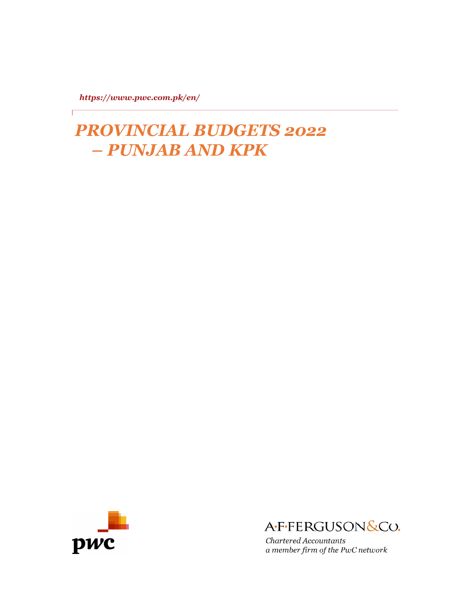*https://www.pwc.com.pk/en/*

*PROVINCIAL BUDGETS 2022 – PUNJAB AND KPK*





Chartered Accountants a member firm of the PwC network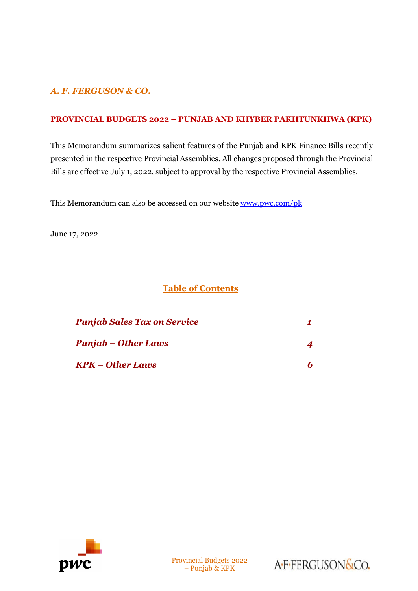# *A. F. FERGUSON & CO.*

## **PROVINCIAL BUDGETS 2022 – PUNJAB AND KHYBER PAKHTUNKHWA (KPK)**

This Memorandum summarizes salient features of the Punjab and KPK Finance Bills recently presented in the respective Provincial Assemblies. All changes proposed through the Provincial Bills are effective July 1, 2022, subject to approval by the respective Provincial Assemblies.

This Memorandum can also be accessed on our website [www.pwc.com/pk](http://www.pwc.com/pk)

June 17, 2022

## **Table of Contents**

| <b>Punjab Sales Tax on Service</b> |  |
|------------------------------------|--|
| <b>Punjab – Other Laws</b>         |  |
| KPK – Other Laws                   |  |



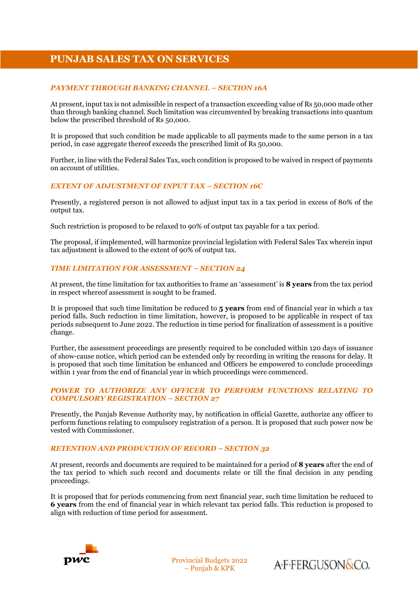# **PUNJAB SALES TAX ON SERVICES**

#### *PAYMENT THROUGH BANKING CHANNEL – SECTION 16A*

At present, input tax is not admissible in respect of a transaction exceeding value of Rs 50,000 made other than through banking channel. Such limitation was circumvented by breaking transactions into quantum below the prescribed threshold of Rs 50,000.

It is proposed that such condition be made applicable to all payments made to the same person in a tax period, in case aggregate thereof exceeds the prescribed limit of Rs 50,000.

Further, in line with the Federal Sales Tax, such condition is proposed to be waived in respect of payments on account of utilities.

#### *EXTENT OF ADJUSTMENT OF INPUT TAX – SECTION 16C*

Presently, a registered person is not allowed to adjust input tax in a tax period in excess of 80% of the output tax.

Such restriction is proposed to be relaxed to 90% of output tax payable for a tax period.

The proposal, if implemented, will harmonize provincial legislation with Federal Sales Tax wherein input tax adjustment is allowed to the extent of 90% of output tax.

#### *TIME LIMITATION FOR ASSESSMENT – SECTION 24*

At present, the time limitation for tax authorities to frame an 'assessment' is **8 years** from the tax period in respect whereof assessment is sought to be framed.

It is proposed that such time limitation be reduced to **5 years** from end of financial year in which a tax period falls. Such reduction in time limitation, however, is proposed to be applicable in respect of tax periods subsequent to June 2022. The reduction in time period for finalization of assessment is a positive change.

Further, the assessment proceedings are presently required to be concluded within 120 days of issuance of show-cause notice, which period can be extended only by recording in writing the reasons for delay. It is proposed that such time limitation be enhanced and Officers be empowered to conclude proceedings within 1 year from the end of financial year in which proceedings were commenced.

#### *POWER TO AUTHORIZE ANY OFFICER TO PERFORM FUNCTIONS RELATING TO COMPULSORY REGISTRATION – SECTION 27*

Presently, the Punjab Revenue Authority may, by notification in official Gazette, authorize any officer to perform functions relating to compulsory registration of a person. It is proposed that such power now be vested with Commissioner.

#### *RETENTION AND PRODUCTION OF RECORD – SECTION 32*

At present, records and documents are required to be maintained for a period of **8 years** after the end of the tax period to which such record and documents relate or till the final decision in any pending proceedings.

It is proposed that for periods commencing from next financial year, such time limitation be reduced to **6 years** from the end of financial year in which relevant tax period falls. This reduction is proposed to align with reduction of time period for assessment.



Provincial Budgets 2022 – Punjab & KPK

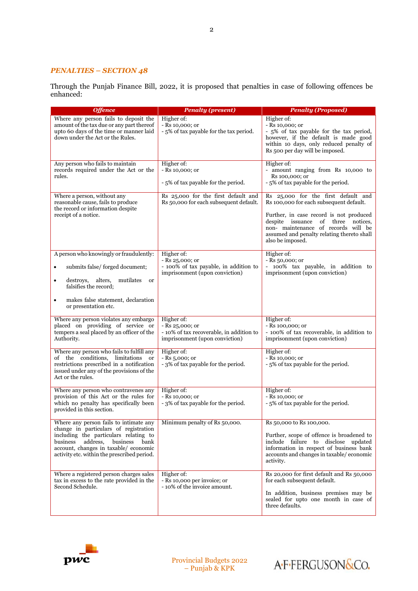#### *PENALTIES – SECTION 48*

Through the Punjab Finance Bill, 2022, it is proposed that penalties in case of following offences be enhanced:

| <b>Offence</b>                                                                                                                                                                                                                                        | <b>Penalty (present)</b>                                                                                     | <b>Penalty (Proposed)</b>                                                                                                                                                                                                                                                      |
|-------------------------------------------------------------------------------------------------------------------------------------------------------------------------------------------------------------------------------------------------------|--------------------------------------------------------------------------------------------------------------|--------------------------------------------------------------------------------------------------------------------------------------------------------------------------------------------------------------------------------------------------------------------------------|
| Where any person fails to deposit the<br>amount of the tax due or any part thereof<br>upto 60 days of the time or manner laid<br>down under the Act or the Rules.                                                                                     | Higher of:<br>$-Rs$ 10,000; or<br>-5% of tax payable for the tax period.                                     | Higher of:<br>- Rs 10,000; or<br>- 5% of tax payable for the tax period,<br>however, if the default is made good<br>within 10 days, only reduced penalty of<br>Rs 500 per day will be imposed.                                                                                 |
| Any person who fails to maintain<br>records required under the Act or the<br>rules.                                                                                                                                                                   | Higher of:<br>- Rs 10,000; or<br>- 5% of tax payable for the period.                                         | Higher of:<br>- amount ranging from Rs 10,000 to<br>Rs 100,000; or<br>- 5% of tax payable for the period.                                                                                                                                                                      |
| Where a person, without any<br>reasonable cause, fails to produce<br>the record or information despite<br>receipt of a notice.                                                                                                                        | Rs 25,000 for the first default and<br>Rs 50,000 for each subsequent default.                                | Rs 25,000 for the first default and<br>Rs 100,000 for each subsequent default.<br>Further, in case record is not produced<br>notices.<br>despite issuance<br>of three<br>non- maintenance of records will be<br>assumed and penalty relating thereto shall<br>also be imposed. |
| A person who knowingly or fraudulently:<br>submits false/ forged document;<br>٠<br>alters,<br>destroys,<br>mutilates<br>or<br>$\bullet$<br>falsifies the record;<br>makes false statement, declaration<br>$\bullet$<br>or presentation etc.           | Higher of:<br>$-Rs 25,000;$ or<br>- 100% of tax payable, in addition to<br>imprisonment (upon conviction)    | Higher of:<br>$ Rs$ 50,000; or<br>- 100% tax payable, in addition to<br>imprisonment (upon conviction)                                                                                                                                                                         |
| Where any person violates any embargo<br>placed on providing of service or<br>tempers a seal placed by an officer of the<br>Authority.                                                                                                                | Higher of:<br>$-Rs 25,000;$ or<br>- 10% of tax recoverable, in addition to<br>imprisonment (upon conviction) | Higher of:<br>- Rs 100,000; or<br>- 100% of tax recoverable, in addition to<br>imprisonment (upon conviction)                                                                                                                                                                  |
| Where any person who fails to fulfill any<br>the conditions, limitations<br><sub>or</sub><br>of<br>restrictions prescribed in a notification<br>issued under any of the provisions of the<br>Act or the rules.                                        | Higher of:<br>$-Rs_{5,000;0r}$<br>- 3% of tax payable for the period.                                        | Higher of:<br>- Rs 10,000; or<br>- 5% of tax payable for the period.                                                                                                                                                                                                           |
| Where any person who contravenes any<br>provision of this Act or the rules for<br>which no penalty has specifically been<br>provided in this section.                                                                                                 | Higher of:<br>- Rs 10,000; or<br>- 3% of tax payable for the period.                                         | Higher of:<br>- Rs 10,000; or<br>- 5% of tax payable for the period.                                                                                                                                                                                                           |
| Where any person fails to intimate any<br>change in particulars of registration<br>including the particulars relating to<br>business<br>address, business bank<br>account, changes in taxable/economic<br>activity etc. within the prescribed period. | Minimum penalty of Rs 50,000.                                                                                | Rs 50,000 to Rs 100,000.<br>Further, scope of offence is broadened to<br>include failure to disclose updated<br>information in respect of business bank<br>accounts and changes in taxable/economic<br>activity.                                                               |
| Where a registered person charges sales<br>tax in excess to the rate provided in the<br>Second Schedule.                                                                                                                                              | Higher of:<br>- Rs 10,000 per invoice; or<br>- 10% of the invoice amount.                                    | Rs 20,000 for first default and Rs 50,000<br>for each subsequent default.<br>In addition, business premises may be<br>sealed for upto one month in case of<br>three defaults.                                                                                                  |



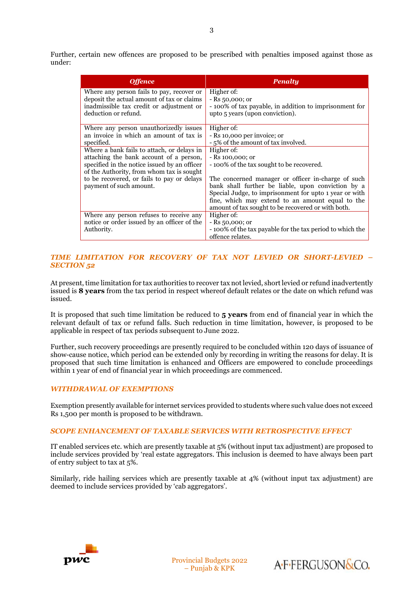| <b>Offence</b>                               | <b>Penalty</b>                                            |
|----------------------------------------------|-----------------------------------------------------------|
| Where any person fails to pay, recover or    | Higher of:                                                |
| deposit the actual amount of tax or claims   | $-Rs$ 50,000; or                                          |
| inadmissible tax credit or adjustment or     | - 100% of tax payable, in addition to imprisonment for    |
| deduction or refund.                         | upto 5 years (upon conviction).                           |
|                                              |                                                           |
| Where any person unauthorizedly issues       | Higher of:                                                |
| an invoice in which an amount of tax is      | - Rs 10,000 per invoice; or                               |
| specified.                                   | - 5% of the amount of tax involved.                       |
| Where a bank fails to attach, or delays in   | Higher of:                                                |
| attaching the bank account of a person,      | $-$ Rs 100,000; or                                        |
| specified in the notice issued by an officer | -100% of the tax sought to be recovered.                  |
| of the Authority, from whom tax is sought    |                                                           |
| to be recovered, or fails to pay or delays   | The concerned manager or officer in-charge of such        |
| payment of such amount.                      | bank shall further be liable, upon conviction by a        |
|                                              | Special Judge, to imprisonment for upto 1 year or with    |
|                                              | fine, which may extend to an amount equal to the          |
|                                              | amount of tax sought to be recovered or with both.        |
| Where any person refuses to receive any      | Higher of:                                                |
| notice or order issued by an officer of the  | $-Rs$ 50,000; or                                          |
| Authority.                                   | - 100% of the tax payable for the tax period to which the |
|                                              | offence relates.                                          |

#### *TIME LIMITATION FOR RECOVERY OF TAX NOT LEVIED OR SHORT-LEVIED – SECTION 52*

At present, time limitation for tax authorities to recover tax not levied, short levied or refund inadvertently issued is **8 years** from the tax period in respect whereof default relates or the date on which refund was issued.

It is proposed that such time limitation be reduced to **5 years** from end of financial year in which the relevant default of tax or refund falls. Such reduction in time limitation, however, is proposed to be applicable in respect of tax periods subsequent to June 2022.

Further, such recovery proceedings are presently required to be concluded within 120 days of issuance of show-cause notice, which period can be extended only by recording in writing the reasons for delay. It is proposed that such time limitation is enhanced and Officers are empowered to conclude proceedings within 1 year of end of financial year in which proceedings are commenced.

#### *WITHDRAWAL OF EXEMPTIONS*

Exemption presently available for internet services provided to students where such value does not exceed Rs 1,500 per month is proposed to be withdrawn.

#### *SCOPE ENHANCEMENT OF TAXABLE SERVICES WITH RETROSPECTIVE EFFECT*

IT enabled services etc. which are presently taxable at 5% (without input tax adjustment) are proposed to include services provided by 'real estate aggregators. This inclusion is deemed to have always been part of entry subject to tax at 5%.

Similarly, ride hailing services which are presently taxable at 4% (without input tax adjustment) are deemed to include services provided by 'cab aggregators'.



Provincial Budgets 2022 – Punjab & KPK

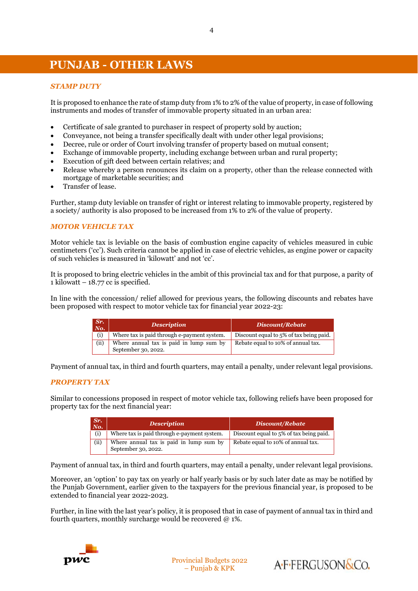# **PUNJAB - OTHER LAWS**

#### *STAMP DUTY*

It is proposed to enhance the rate of stamp duty from 1% to 2% of the value of property, in case of following instruments and modes of transfer of immovable property situated in an urban area:

- Certificate of sale granted to purchaser in respect of property sold by auction;
- Conveyance, not being a transfer specifically dealt with under other legal provisions;
- Decree, rule or order of Court involving transfer of property based on mutual consent;
- Exchange of immovable property, including exchange between urban and rural property;
- Execution of gift deed between certain relatives; and
- Release whereby a person renounces its claim on a property, other than the release connected with mortgage of marketable securities; and
- Transfer of lease.

Further, stamp duty leviable on transfer of right or interest relating to immovable property, registered by a society/ authority is also proposed to be increased from 1% to 2% of the value of property.

#### *MOTOR VEHICLE TAX*

Motor vehicle tax is leviable on the basis of combustion engine capacity of vehicles measured in cubic centimeters ('cc'). Such criteria cannot be applied in case of electric vehicles, as engine power or capacity of such vehicles is measured in 'kilowatt' and not 'cc'.

It is proposed to bring electric vehicles in the ambit of this provincial tax and for that purpose, a parity of 1 kilowatt –  $18.77$  cc is specified.

In line with the concession/ relief allowed for previous years, the following discounts and rebates have been proposed with respect to motor vehicle tax for financial year 2022-23:

| Sr.<br>$N\mathbf{o}$ . | <b>Description</b>                                             | <b>Discount/Rebate</b>                  |  |
|------------------------|----------------------------------------------------------------|-----------------------------------------|--|
| (i)                    | Where tax is paid through e-payment system.                    | Discount equal to 5% of tax being paid. |  |
| (i)                    | Where annual tax is paid in lump sum by<br>September 30, 2022. | Rebate equal to 10% of annual tax.      |  |

Payment of annual tax, in third and fourth quarters, may entail a penalty, under relevant legal provisions.

#### *PROPERTY TAX*

Similar to concessions proposed in respect of motor vehicle tax, following reliefs have been proposed for property tax for the next financial year:

| Sr.<br>No. | <b>Description</b>                                             | <b>Discount/Rebate</b>                  |
|------------|----------------------------------------------------------------|-----------------------------------------|
| (i)        | Where tax is paid through e-payment system.                    | Discount equal to 5% of tax being paid. |
| (ii)       | Where annual tax is paid in lump sum by<br>September 30, 2022. | Rebate equal to 10% of annual tax.      |

Payment of annual tax, in third and fourth quarters, may entail a penalty, under relevant legal provisions.

Moreover, an 'option' to pay tax on yearly or half yearly basis or by such later date as may be notified by the Punjab Government, earlier given to the taxpayers for the previous financial year, is proposed to be extended to financial year 2022-2023.

Further, in line with the last year's policy, it is proposed that in case of payment of annual tax in third and fourth quarters, monthly surcharge would be recovered  $@1\%$ .



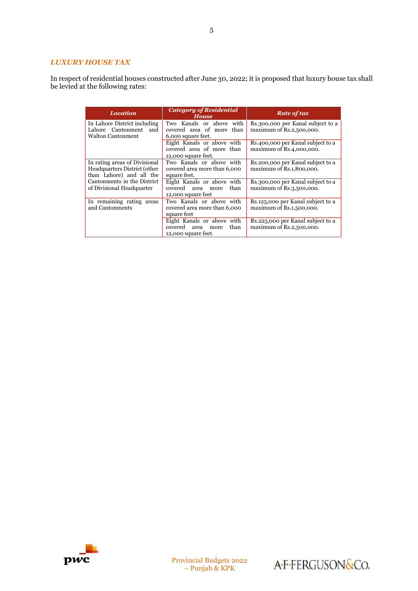#### *LUXURY HOUSE TAX*

In respect of residential houses constructed after June 30, 2022; it is proposed that luxury house tax shall be levied at the following rates:

| <b>Location</b>               | <b>Category of Residential</b><br><b>House</b> | <b>Rate of tax</b>                 |  |
|-------------------------------|------------------------------------------------|------------------------------------|--|
| In Lahore District including  | Two Kanals or above with                       | Rs.300,000 per Kanal subject to a  |  |
| Cantonment<br>Lahore<br>and   | covered area of more than                      | maximum of Rs.2,500,000.           |  |
| Walton Cantonment             | 6,000 square feet.                             |                                    |  |
|                               | Eight Kanals or above with                     | Rs.400,000 per Kanal subject to a  |  |
|                               | covered area of more than                      | maximum of Rs.4,000,000.           |  |
|                               | 12,000 square feet.                            |                                    |  |
| In rating areas of Divisional | Two Kanals or above with                       | Rs.200,000 per Kanal subject to a  |  |
| Headquarters District (other  | covered area more than 6,000                   | maximum of Rs.1,800,000.           |  |
| than Lahore) and all the      | square feet.                                   |                                    |  |
| Cantonments in the District   | Eight Kanals or above with                     | Rs.300,000 per Kanal subject to a  |  |
| of Divisional Headquarter     | covered area<br>than<br>more                   | maximum of Rs.3,500,000.           |  |
|                               | 12,000 square feet                             |                                    |  |
| In remaining rating areas     | Two Kanals or above with                       | Rs.125,000 per Kanal subject to a  |  |
| and Cantonments               | covered area more than 6,000                   | maximum of Rs.1,500,000.           |  |
|                               | square feet                                    |                                    |  |
|                               | Eight Kanals or above with                     | Rs. 225,000 per Kanal subject to a |  |
|                               | covered area<br>than<br>more                   | maximum of Rs.2,500,000.           |  |
|                               | 12,000 square feet.                            |                                    |  |



Provincial Budgets 2022 – Punjab & KPK

A-F-FERGUSON&Co.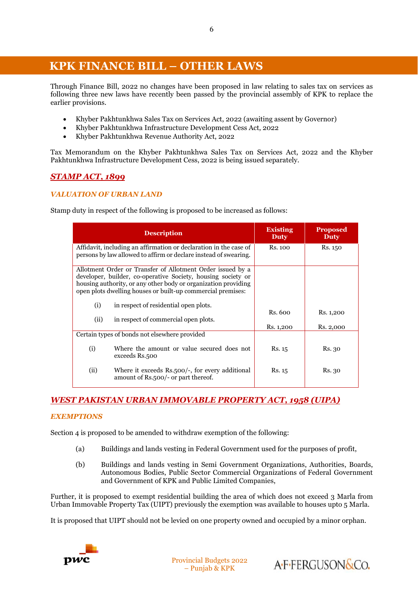# **v KPK FINANCE BILL – OTHER LAWS**

Through Finance Bill, 2022 no changes have been proposed in law relating to sales tax on services as following three new laws have recently been passed by the provincial assembly of KPK to replace the earlier provisions.

- Khyber Pakhtunkhwa Sales Tax on Services Act, 2022 (awaiting assent by Governor)
- Khyber Pakhtunkhwa Infrastructure Development Cess Act, 2022
- Khyber Pakhtunkhwa Revenue Authority Act, 2022

Tax Memorandum on the Khyber Pakhtunkhwa Sales Tax on Services Act, 2022 and the Khyber Pakhtunkhwa Infrastructure Development Cess, 2022 is being issued separately.

## *STAMP ACT, 1899*

#### *VALUATION OF URBAN LAND*

Stamp duty in respect of the following is proposed to be increased as follows:

|                                                                                                                                       | <b>Description</b>                                                                                                                                                                                                                                          | <b>Existing</b><br>Duty | <b>Proposed</b><br>Duty |
|---------------------------------------------------------------------------------------------------------------------------------------|-------------------------------------------------------------------------------------------------------------------------------------------------------------------------------------------------------------------------------------------------------------|-------------------------|-------------------------|
| Affidavit, including an affirmation or declaration in the case of<br>persons by law allowed to affirm or declare instead of swearing. |                                                                                                                                                                                                                                                             | Rs. 100                 | Rs. 150                 |
|                                                                                                                                       | Allotment Order or Transfer of Allotment Order issued by a<br>developer, builder, co-operative Society, housing society or<br>housing authority, or any other body or organization providing<br>open plots dwelling houses or built-up commercial premises: |                         |                         |
| (i)                                                                                                                                   | in respect of residential open plots.                                                                                                                                                                                                                       |                         |                         |
| (ii)                                                                                                                                  | in respect of commercial open plots.                                                                                                                                                                                                                        | Rs. 600                 | Rs. 1,200               |
|                                                                                                                                       |                                                                                                                                                                                                                                                             | Rs. 1,200               | Rs. 2,000               |
|                                                                                                                                       | Certain types of bonds not elsewhere provided                                                                                                                                                                                                               |                         |                         |
| (i)                                                                                                                                   | Where the amount or value secured does not<br>exceeds Rs.500                                                                                                                                                                                                | Rs. 15                  | Rs. 30                  |
| (ii)                                                                                                                                  | Where it exceeds Rs.500/-, for every additional<br>amount of Rs.500/- or part thereof.                                                                                                                                                                      | Rs. 15                  | Rs. 30                  |

## *WEST PAKISTAN URBAN IMMOVABLE PROPERTY ACT, 1958 (UIPA)*

#### *EXEMPTIONS*

Section 4 is proposed to be amended to withdraw exemption of the following:

- (a) Buildings and lands vesting in Federal Government used for the purposes of profit,
- (b) Buildings and lands vesting in Semi Government Organizations, Authorities, Boards, Autonomous Bodies, Public Sector Commercial Organizations of Federal Government and Government of KPK and Public Limited Companies,

Further, it is proposed to exempt residential building the area of which does not exceed 3 Marla from Urban Immovable Property Tax (UIPT) previously the exemption was available to houses upto 5 Marla.

It is proposed that UIPT should not be levied on one property owned and occupied by a minor orphan.

Provincial Budgets 2022 – Punjab & KPK